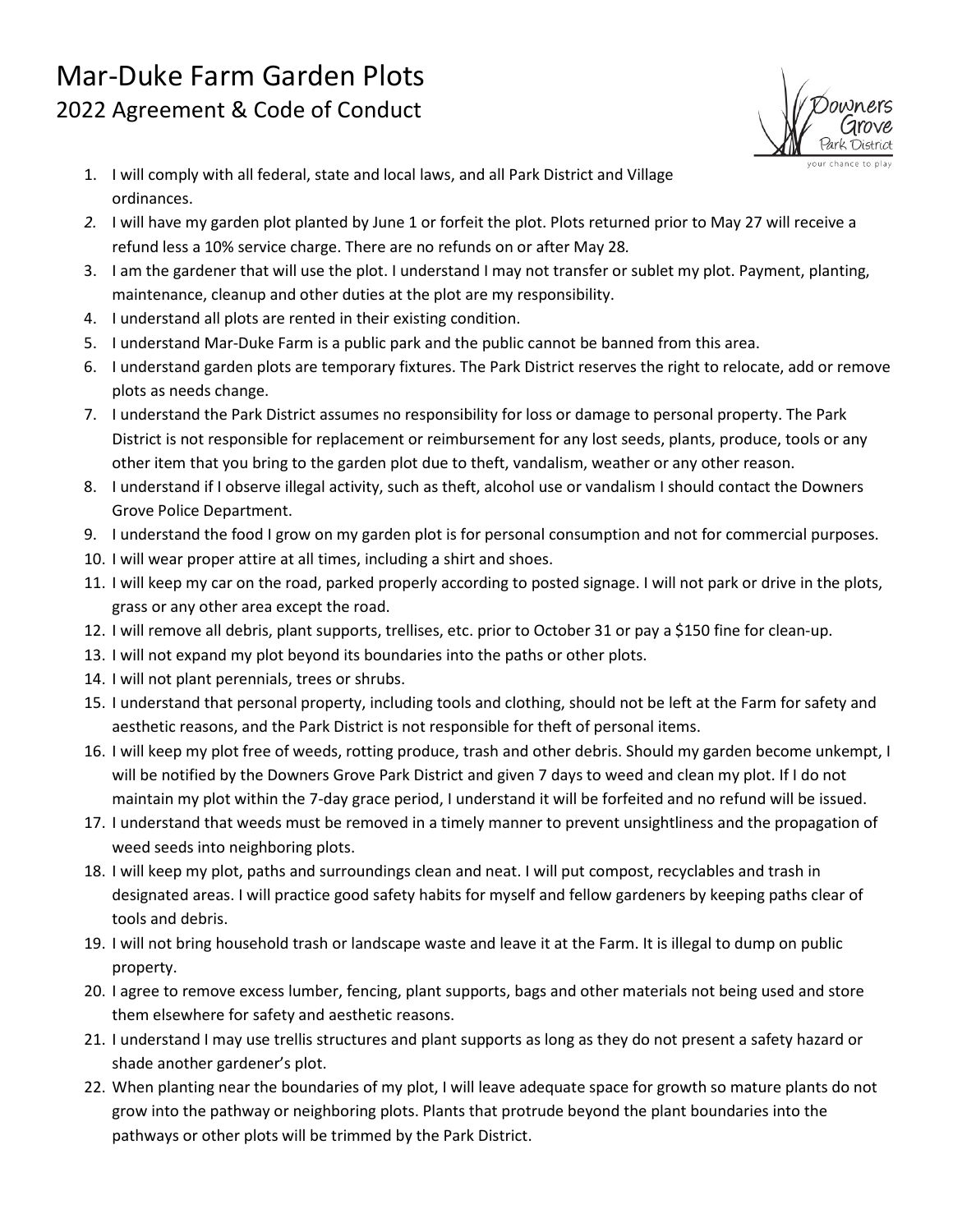## Mar-Duke Farm Garden Plots 2022 Agreement & Code of Conduct



- 1. I will comply with all federal, state and local laws, and all Park District and Village ordinances.
- *2.* I will have my garden plot planted by June 1 or forfeit the plot. Plots returned prior to May 27 will receive a refund less a 10% service charge. There are no refunds on or after May 28*.*
- 3. I am the gardener that will use the plot. I understand I may not transfer or sublet my plot. Payment, planting, maintenance, cleanup and other duties at the plot are my responsibility.
- 4. I understand all plots are rented in their existing condition.
- 5. I understand Mar-Duke Farm is a public park and the public cannot be banned from this area.
- 6. I understand garden plots are temporary fixtures. The Park District reserves the right to relocate, add or remove plots as needs change.
- 7. I understand the Park District assumes no responsibility for loss or damage to personal property. The Park District is not responsible for replacement or reimbursement for any lost seeds, plants, produce, tools or any other item that you bring to the garden plot due to theft, vandalism, weather or any other reason.
- 8. I understand if I observe illegal activity, such as theft, alcohol use or vandalism I should contact the Downers Grove Police Department.
- 9. I understand the food I grow on my garden plot is for personal consumption and not for commercial purposes.
- 10. I will wear proper attire at all times, including a shirt and shoes.
- 11. I will keep my car on the road, parked properly according to posted signage. I will not park or drive in the plots, grass or any other area except the road.
- 12. I will remove all debris, plant supports, trellises, etc. prior to October 31 or pay a \$150 fine for clean-up.
- 13. I will not expand my plot beyond its boundaries into the paths or other plots.
- 14. I will not plant perennials, trees or shrubs.
- 15. I understand that personal property, including tools and clothing, should not be left at the Farm for safety and aesthetic reasons, and the Park District is not responsible for theft of personal items.
- 16. I will keep my plot free of weeds, rotting produce, trash and other debris. Should my garden become unkempt, I will be notified by the Downers Grove Park District and given 7 days to weed and clean my plot. If I do not maintain my plot within the 7-day grace period, I understand it will be forfeited and no refund will be issued.
- 17. I understand that weeds must be removed in a timely manner to prevent unsightliness and the propagation of weed seeds into neighboring plots.
- 18. I will keep my plot, paths and surroundings clean and neat. I will put compost, recyclables and trash in designated areas. I will practice good safety habits for myself and fellow gardeners by keeping paths clear of tools and debris.
- 19. I will not bring household trash or landscape waste and leave it at the Farm. It is illegal to dump on public property.
- 20. I agree to remove excess lumber, fencing, plant supports, bags and other materials not being used and store them elsewhere for safety and aesthetic reasons.
- 21. I understand I may use trellis structures and plant supports as long as they do not present a safety hazard or shade another gardener's plot.
- 22. When planting near the boundaries of my plot, I will leave adequate space for growth so mature plants do not grow into the pathway or neighboring plots. Plants that protrude beyond the plant boundaries into the pathways or other plots will be trimmed by the Park District.